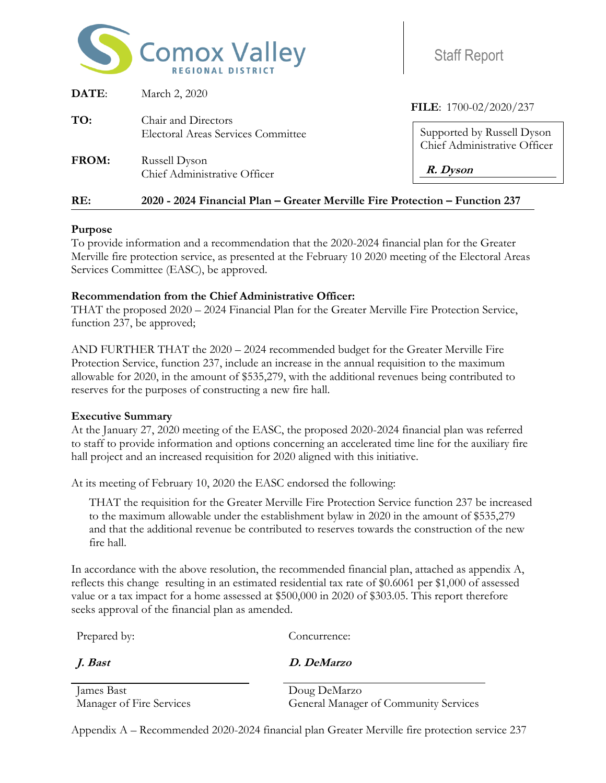

| <b>Staff Report</b> |
|---------------------|

| RE:   | 2020 - 2024 Financial Plan - Greater Merville Fire Protection - Function 237 |                                                            |
|-------|------------------------------------------------------------------------------|------------------------------------------------------------|
| FROM: | Russell Dyson<br>Chief Administrative Officer                                | R. Dyson                                                   |
|       | <b>Electoral Areas Services Committee</b>                                    | Supported by Russell Dyson<br>Chief Administrative Officer |
| TO:   | Chair and Directors                                                          | FILE: 1700-02/2020/237                                     |
| DATE: | March 2, 2020                                                                |                                                            |

## **Purpose**

To provide information and a recommendation that the 2020-2024 financial plan for the Greater Merville fire protection service, as presented at the February 10 2020 meeting of the Electoral Areas Services Committee (EASC), be approved.

## **Recommendation from the Chief Administrative Officer:**

THAT the proposed 2020 – 2024 Financial Plan for the Greater Merville Fire Protection Service, function 237, be approved;

AND FURTHER THAT the 2020 – 2024 recommended budget for the Greater Merville Fire Protection Service, function 237, include an increase in the annual requisition to the maximum allowable for 2020, in the amount of \$535,279, with the additional revenues being contributed to reserves for the purposes of constructing a new fire hall.

## **Executive Summary**

At the January 27, 2020 meeting of the EASC, the proposed 2020-2024 financial plan was referred to staff to provide information and options concerning an accelerated time line for the auxiliary fire hall project and an increased requisition for 2020 aligned with this initiative.

At its meeting of February 10, 2020 the EASC endorsed the following:

THAT the requisition for the Greater Merville Fire Protection Service function 237 be increased to the maximum allowable under the establishment bylaw in 2020 in the amount of \$535,279 and that the additional revenue be contributed to reserves towards the construction of the new fire hall.

In accordance with the above resolution, the recommended financial plan, attached as appendix A, reflects this change resulting in an estimated residential tax rate of \$0.6061 per \$1,000 of assessed value or a tax impact for a home assessed at \$500,000 in 2020 of \$303.05. This report therefore seeks approval of the financial plan as amended.

Prepared by: Concurrence:

**J. Bast D. DeMarzo**

James Bast Doug DeMarzo

Manager of Fire Services General Manager of Community Services

Appendix A – Recommended 2020-2024 financial plan Greater Merville fire protection service 237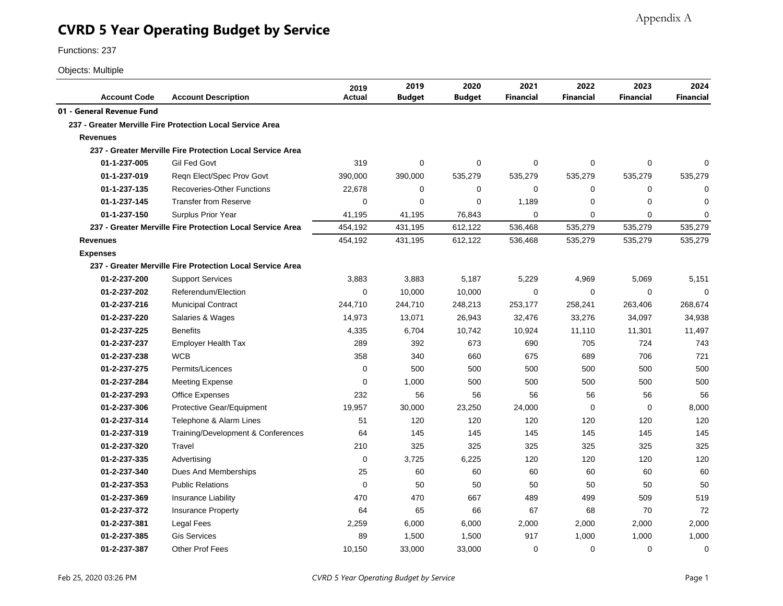# **CVRD 5 Year Operating Budget by Service**

Functions: 237

#### Objects: Multiple

| <b>Account Code</b>       | <b>Account Description</b>                                | 2019<br><b>Actual</b> | 2019<br><b>Budget</b> | 2020<br>Budget | 2021<br><b>Financial</b> | 2022<br><b>Financial</b> | 2023<br>Financial | 2024<br><b>Financial</b> |
|---------------------------|-----------------------------------------------------------|-----------------------|-----------------------|----------------|--------------------------|--------------------------|-------------------|--------------------------|
| 01 - General Revenue Fund |                                                           |                       |                       |                |                          |                          |                   |                          |
|                           | 237 - Greater Merville Fire Protection Local Service Area |                       |                       |                |                          |                          |                   |                          |
| <b>Revenues</b>           |                                                           |                       |                       |                |                          |                          |                   |                          |
|                           | 237 - Greater Merville Fire Protection Local Service Area |                       |                       |                |                          |                          |                   |                          |
| 01-1-237-005              | Gil Fed Govt                                              | 319                   | 0                     | 0              | $\mathbf 0$              | 0                        | $\mathbf 0$       | 0                        |
| 01-1-237-019              | Reqn Elect/Spec Prov Govt                                 | 390,000               | 390,000               | 535,279        | 535,279                  | 535,279                  | 535,279           | 535,279                  |
| 01-1-237-135              | <b>Recoveries-Other Functions</b>                         | 22,678                | 0                     | 0              | 0                        | $\mathbf 0$              | $\mathbf 0$       | $\mathbf 0$              |
| 01-1-237-145              | <b>Transfer from Reserve</b>                              | $\mathbf 0$           | $\Omega$              | 0              | 1,189                    | $\mathbf 0$              | $\Omega$          | $\mathbf 0$              |
| 01-1-237-150              | Surplus Prior Year                                        | 41,195                | 41,195                | 76,843         | $\Omega$                 | $\mathbf 0$              | $\Omega$          | $\mathbf 0$              |
|                           | 237 - Greater Merville Fire Protection Local Service Area | 454,192               | 431,195               | 612,122        | 536,468                  | 535,279                  | 535,279           | 535,279                  |
| <b>Revenues</b>           |                                                           | 454,192               | 431,195               | 612,122        | 536,468                  | 535,279                  | 535,279           | 535,279                  |
| <b>Expenses</b>           |                                                           |                       |                       |                |                          |                          |                   |                          |
|                           | 237 - Greater Merville Fire Protection Local Service Area |                       |                       |                |                          |                          |                   |                          |
| 01-2-237-200              | <b>Support Services</b>                                   | 3,883                 | 3,883                 | 5,187          | 5,229                    | 4,969                    | 5,069             | 5,151                    |
| 01-2-237-202              | Referendum/Election                                       | $\mathbf 0$           | 10,000                | 10,000         | $\Omega$                 | $\mathbf 0$              | $\Omega$          | $\Omega$                 |
| 01-2-237-216              | <b>Municipal Contract</b>                                 | 244,710               | 244,710               | 248,213        | 253,177                  | 258,241                  | 263,406           | 268,674                  |
| 01-2-237-220              | Salaries & Wages                                          | 14,973                | 13,071                | 26,943         | 32,476                   | 33,276                   | 34,097            | 34,938                   |
| 01-2-237-225              | <b>Benefits</b>                                           | 4,335                 | 6,704                 | 10,742         | 10,924                   | 11,110                   | 11,301            | 11,497                   |
| 01-2-237-237              | <b>Employer Health Tax</b>                                | 289                   | 392                   | 673            | 690                      | 705                      | 724               | 743                      |
| 01-2-237-238              | <b>WCB</b>                                                | 358                   | 340                   | 660            | 675                      | 689                      | 706               | 721                      |
| 01-2-237-275              | Permits/Licences                                          | $\Omega$              | 500                   | 500            | 500                      | 500                      | 500               | 500                      |
| 01-2-237-284              | <b>Meeting Expense</b>                                    | 0                     | 1,000                 | 500            | 500                      | 500                      | 500               | 500                      |
| 01-2-237-293              | <b>Office Expenses</b>                                    | 232                   | 56                    | 56             | 56                       | 56                       | 56                | 56                       |
| 01-2-237-306              | Protective Gear/Equipment                                 | 19,957                | 30,000                | 23,250         | 24,000                   | $\mathbf 0$              | $\Omega$          | 8,000                    |
| 01-2-237-314              | Telephone & Alarm Lines                                   | 51                    | 120                   | 120            | 120                      | 120                      | 120               | 120                      |
| 01-2-237-319              | Training/Development & Conferences                        | 64                    | 145                   | 145            | 145                      | 145                      | 145               | 145                      |
| 01-2-237-320              | Travel                                                    | 210                   | 325                   | 325            | 325                      | 325                      | 325               | 325                      |
| 01-2-237-335              | Advertising                                               | $\mathbf 0$           | 3,725                 | 6,225          | 120                      | 120                      | 120               | 120                      |
| 01-2-237-340              | Dues And Memberships                                      | 25                    | 60                    | 60             | 60                       | 60                       | 60                | 60                       |
| 01-2-237-353              | <b>Public Relations</b>                                   | $\mathbf 0$           | 50                    | 50             | 50                       | 50                       | 50                | 50                       |
| 01-2-237-369              | Insurance Liability                                       | 470                   | 470                   | 667            | 489                      | 499                      | 509               | 519                      |
| 01-2-237-372              | Insurance Property                                        | 64                    | 65                    | 66             | 67                       | 68                       | 70                | 72                       |
| 01-2-237-381              | Legal Fees                                                | 2,259                 | 6,000                 | 6,000          | 2,000                    | 2,000                    | 2,000             | 2,000                    |
| 01-2-237-385              | <b>Gis Services</b>                                       | 89                    | 1,500                 | 1,500          | 917                      | 1,000                    | 1,000             | 1,000                    |
| 01-2-237-387              | <b>Other Prof Fees</b>                                    | 10,150                | 33,000                | 33,000         | 0                        | 0                        | 0                 | 0                        |